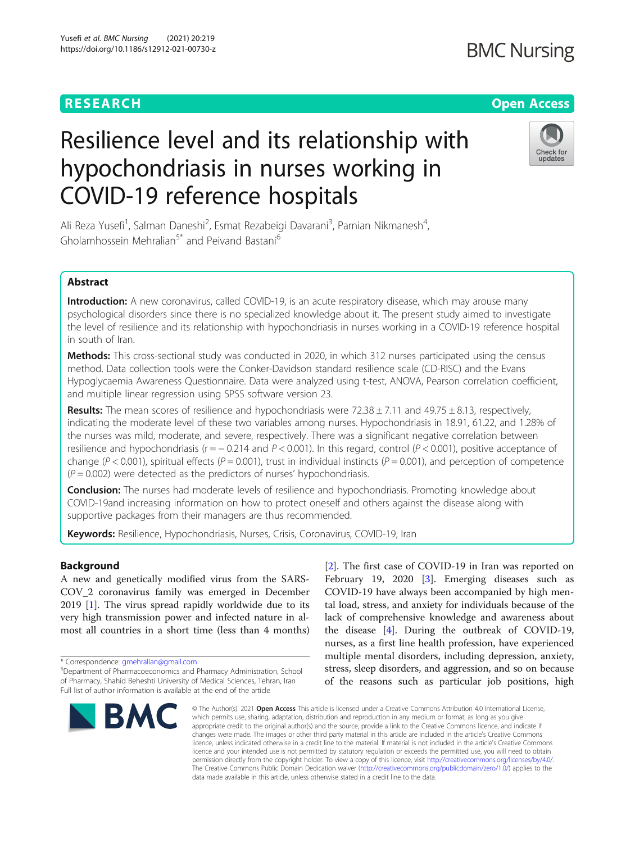## **RESEARCH CHEAR CHEAR CHEAR CHEAR CHEAR CHEAP CONTROL**

# Resilience level and its relationship with hypochondriasis in nurses working in COVID-19 reference hospitals



Ali Reza Yusefi<sup>1</sup>, Salman Daneshi<sup>2</sup>, Esmat Rezabeigi Davarani<sup>3</sup>, Parnian Nikmanesh<sup>4</sup> , Gholamhossein Mehralian<sup>5\*</sup> and Peivand Bastani<sup>6</sup>

## Abstract

Introduction: A new coronavirus, called COVID-19, is an acute respiratory disease, which may arouse many psychological disorders since there is no specialized knowledge about it. The present study aimed to investigate the level of resilience and its relationship with hypochondriasis in nurses working in a COVID-19 reference hospital in south of Iran.

Methods: This cross-sectional study was conducted in 2020, in which 312 nurses participated using the census method. Data collection tools were the Conker-Davidson standard resilience scale (CD-RISC) and the Evans Hypoglycaemia Awareness Questionnaire. Data were analyzed using t-test, ANOVA, Pearson correlation coefficient, and multiple linear regression using SPSS software version 23.

**Results:** The mean scores of resilience and hypochondriasis were 72.38  $\pm$  7.11 and 49.75  $\pm$  8.13, respectively, indicating the moderate level of these two variables among nurses. Hypochondriasis in 18.91, 61.22, and 1.28% of the nurses was mild, moderate, and severe, respectively. There was a significant negative correlation between resilience and hypochondriasis ( $r = -0.214$  and  $P < 0.001$ ). In this regard, control ( $P < 0.001$ ), positive acceptance of change ( $P < 0.001$ ), spiritual effects ( $P = 0.001$ ), trust in individual instincts ( $P = 0.001$ ), and perception of competence  $(P = 0.002)$  were detected as the predictors of nurses' hypochondriasis.

**Conclusion:** The nurses had moderate levels of resilience and hypochondriasis. Promoting knowledge about COVID-19and increasing information on how to protect oneself and others against the disease along with supportive packages from their managers are thus recommended.

Keywords: Resilience, Hypochondriasis, Nurses, Crisis, Coronavirus, COVID-19, Iran

## Background

A new and genetically modified virus from the SARS-COV\_2 coronavirus family was emerged in December 2019 [\[1](#page-7-0)]. The virus spread rapidly worldwide due to its very high transmission power and infected nature in almost all countries in a short time (less than 4 months)

\* Correspondence: [gmehralian@gmail.com](mailto:gmehralian@gmail.com) <sup>5</sup>

Department of Pharmacoeconomics and Pharmacy Administration, School of Pharmacy, Shahid Beheshti University of Medical Sciences, Tehran, Iran Full list of author information is available at the end of the article



[[2\]](#page-7-0). The first case of COVID-19 in Iran was reported on February 19, 2020 [[3\]](#page-7-0). Emerging diseases such as COVID-19 have always been accompanied by high mental load, stress, and anxiety for individuals because of the lack of comprehensive knowledge and awareness about the disease [\[4](#page-7-0)]. During the outbreak of COVID-19, nurses, as a first line health profession, have experienced multiple mental disorders, including depression, anxiety, stress, sleep disorders, and aggression, and so on because of the reasons such as particular job positions, high

© The Author(s), 2021 **Open Access** This article is licensed under a Creative Commons Attribution 4.0 International License, which permits use, sharing, adaptation, distribution and reproduction in any medium or format, as long as you give appropriate credit to the original author(s) and the source, provide a link to the Creative Commons licence, and indicate if changes were made. The images or other third party material in this article are included in the article's Creative Commons licence, unless indicated otherwise in a credit line to the material. If material is not included in the article's Creative Commons licence and your intended use is not permitted by statutory regulation or exceeds the permitted use, you will need to obtain permission directly from the copyright holder. To view a copy of this licence, visit [http://creativecommons.org/licenses/by/4.0/.](http://creativecommons.org/licenses/by/4.0/) The Creative Commons Public Domain Dedication waiver [\(http://creativecommons.org/publicdomain/zero/1.0/](http://creativecommons.org/publicdomain/zero/1.0/)) applies to the data made available in this article, unless otherwise stated in a credit line to the data.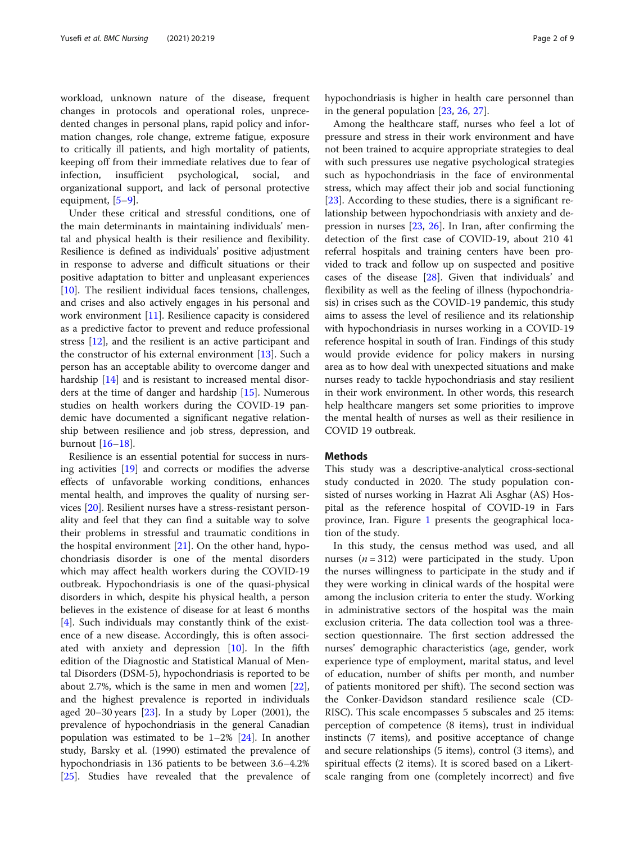workload, unknown nature of the disease, frequent changes in protocols and operational roles, unprecedented changes in personal plans, rapid policy and information changes, role change, extreme fatigue, exposure to critically ill patients, and high mortality of patients, keeping off from their immediate relatives due to fear of infection, insufficient psychological, social, and organizational support, and lack of personal protective equipment, [[5](#page-7-0)–[9\]](#page-7-0).

Under these critical and stressful conditions, one of the main determinants in maintaining individuals' mental and physical health is their resilience and flexibility. Resilience is defined as individuals' positive adjustment in response to adverse and difficult situations or their positive adaptation to bitter and unpleasant experiences [[10\]](#page-7-0). The resilient individual faces tensions, challenges, and crises and also actively engages in his personal and work environment [[11\]](#page-7-0). Resilience capacity is considered as a predictive factor to prevent and reduce professional stress [\[12](#page-7-0)], and the resilient is an active participant and the constructor of his external environment [\[13](#page-7-0)]. Such a person has an acceptable ability to overcome danger and hardship [[14\]](#page-7-0) and is resistant to increased mental disorders at the time of danger and hardship [[15\]](#page-7-0). Numerous studies on health workers during the COVID-19 pandemic have documented a significant negative relationship between resilience and job stress, depression, and burnout [[16](#page-7-0)–[18](#page-7-0)].

Resilience is an essential potential for success in nursing activities [[19\]](#page-7-0) and corrects or modifies the adverse effects of unfavorable working conditions, enhances mental health, and improves the quality of nursing services [\[20](#page-7-0)]. Resilient nurses have a stress-resistant personality and feel that they can find a suitable way to solve their problems in stressful and traumatic conditions in the hospital environment [\[21](#page-7-0)]. On the other hand, hypochondriasis disorder is one of the mental disorders which may affect health workers during the COVID-19 outbreak. Hypochondriasis is one of the quasi-physical disorders in which, despite his physical health, a person believes in the existence of disease for at least 6 months [[4\]](#page-7-0). Such individuals may constantly think of the existence of a new disease. Accordingly, this is often associated with anxiety and depression [[10](#page-7-0)]. In the fifth edition of the Diagnostic and Statistical Manual of Mental Disorders (DSM-5), hypochondriasis is reported to be about 2.7%, which is the same in men and women [\[22](#page-7-0)], and the highest prevalence is reported in individuals aged  $20-30$  years  $[23]$  $[23]$ . In a study by Loper  $(2001)$ , the prevalence of hypochondriasis in the general Canadian population was estimated to be  $1-2\%$  [\[24\]](#page-7-0). In another study, Barsky et al. (1990) estimated the prevalence of hypochondriasis in 136 patients to be between 3.6–4.2% [[25\]](#page-7-0). Studies have revealed that the prevalence of hypochondriasis is higher in health care personnel than in the general population [\[23,](#page-7-0) [26,](#page-7-0) [27\]](#page-7-0).

Among the healthcare staff, nurses who feel a lot of pressure and stress in their work environment and have not been trained to acquire appropriate strategies to deal with such pressures use negative psychological strategies such as hypochondriasis in the face of environmental stress, which may affect their job and social functioning [[23\]](#page-7-0). According to these studies, there is a significant relationship between hypochondriasis with anxiety and depression in nurses [[23](#page-7-0), [26\]](#page-7-0). In Iran, after confirming the detection of the first case of COVID-19, about 210 41 referral hospitals and training centers have been provided to track and follow up on suspected and positive cases of the disease  $[28]$ . Given that individuals' and flexibility as well as the feeling of illness (hypochondriasis) in crises such as the COVID-19 pandemic, this study aims to assess the level of resilience and its relationship with hypochondriasis in nurses working in a COVID-19 reference hospital in south of Iran. Findings of this study would provide evidence for policy makers in nursing area as to how deal with unexpected situations and make nurses ready to tackle hypochondriasis and stay resilient in their work environment. In other words, this research help healthcare mangers set some priorities to improve the mental health of nurses as well as their resilience in COVID 19 outbreak.

## **Methods**

This study was a descriptive-analytical cross-sectional study conducted in 2020. The study population consisted of nurses working in Hazrat Ali Asghar (AS) Hospital as the reference hospital of COVID-19 in Fars province, Iran. Figure [1](#page-2-0) presents the geographical location of the study.

In this study, the census method was used, and all nurses  $(n = 312)$  were participated in the study. Upon the nurses willingness to participate in the study and if they were working in clinical wards of the hospital were among the inclusion criteria to enter the study. Working in administrative sectors of the hospital was the main exclusion criteria. The data collection tool was a threesection questionnaire. The first section addressed the nurses' demographic characteristics (age, gender, work experience type of employment, marital status, and level of education, number of shifts per month, and number of patients monitored per shift). The second section was the Conker-Davidson standard resilience scale (CD-RISC). This scale encompasses 5 subscales and 25 items: perception of competence (8 items), trust in individual instincts (7 items), and positive acceptance of change and secure relationships (5 items), control (3 items), and spiritual effects (2 items). It is scored based on a Likertscale ranging from one (completely incorrect) and five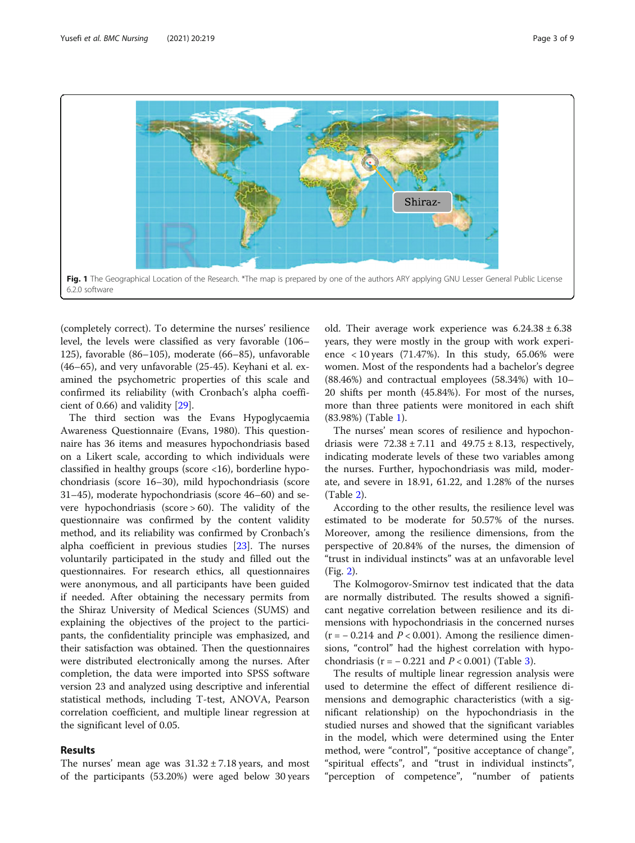<span id="page-2-0"></span>

(completely correct). To determine the nurses' resilience level, the levels were classified as very favorable (106– 125), favorable (86–105), moderate (66–85), unfavorable (46–65), and very unfavorable (25-45). Keyhani et al. examined the psychometric properties of this scale and confirmed its reliability (with Cronbach's alpha coefficient of 0.66) and validity [[29\]](#page-7-0).

The third section was the Evans Hypoglycaemia Awareness Questionnaire (Evans, 1980). This questionnaire has 36 items and measures hypochondriasis based on a Likert scale, according to which individuals were classified in healthy groups (score <16), borderline hypochondriasis (score 16–30), mild hypochondriasis (score 31–45), moderate hypochondriasis (score 46–60) and severe hypochondriasis (score > 60). The validity of the questionnaire was confirmed by the content validity method, and its reliability was confirmed by Cronbach's alpha coefficient in previous studies [[23\]](#page-7-0). The nurses voluntarily participated in the study and filled out the questionnaires. For research ethics, all questionnaires were anonymous, and all participants have been guided if needed. After obtaining the necessary permits from the Shiraz University of Medical Sciences (SUMS) and explaining the objectives of the project to the participants, the confidentiality principle was emphasized, and their satisfaction was obtained. Then the questionnaires were distributed electronically among the nurses. After completion, the data were imported into SPSS software version 23 and analyzed using descriptive and inferential statistical methods, including T-test, ANOVA, Pearson correlation coefficient, and multiple linear regression at the significant level of 0.05.

## Results

The nurses' mean age was  $31.32 \pm 7.18$  years, and most of the participants (53.20%) were aged below 30 years

old. Their average work experience was  $6.24.38 \pm 6.38$ years, they were mostly in the group with work experience  $<$  10 years (71.47%). In this study, 65.06% were women. Most of the respondents had a bachelor's degree (88.46%) and contractual employees (58.34%) with 10– 20 shifts per month (45.84%). For most of the nurses, more than three patients were monitored in each shift (83.98%) (Table [1\)](#page-3-0).

The nurses' mean scores of resilience and hypochondriasis were  $72.38 \pm 7.11$  and  $49.75 \pm 8.13$ , respectively, indicating moderate levels of these two variables among the nurses. Further, hypochondriasis was mild, moderate, and severe in 18.91, 61.22, and 1.28% of the nurses (Table [2\)](#page-3-0).

According to the other results, the resilience level was estimated to be moderate for 50.57% of the nurses. Moreover, among the resilience dimensions, from the perspective of 20.84% of the nurses, the dimension of "trust in individual instincts" was at an unfavorable level (Fig. [2](#page-4-0)).

The Kolmogorov-Smirnov test indicated that the data are normally distributed. The results showed a significant negative correlation between resilience and its dimensions with hypochondriasis in the concerned nurses  $(r = -0.214$  and  $P < 0.001$ ). Among the resilience dimensions, "control" had the highest correlation with hypochondriasis (r =  $-0.221$  and  $P < 0.001$ ) (Table [3](#page-4-0)).

The results of multiple linear regression analysis were used to determine the effect of different resilience dimensions and demographic characteristics (with a significant relationship) on the hypochondriasis in the studied nurses and showed that the significant variables in the model, which were determined using the Enter method, were "control", "positive acceptance of change", "spiritual effects", and "trust in individual instincts", "perception of competence", "number of patients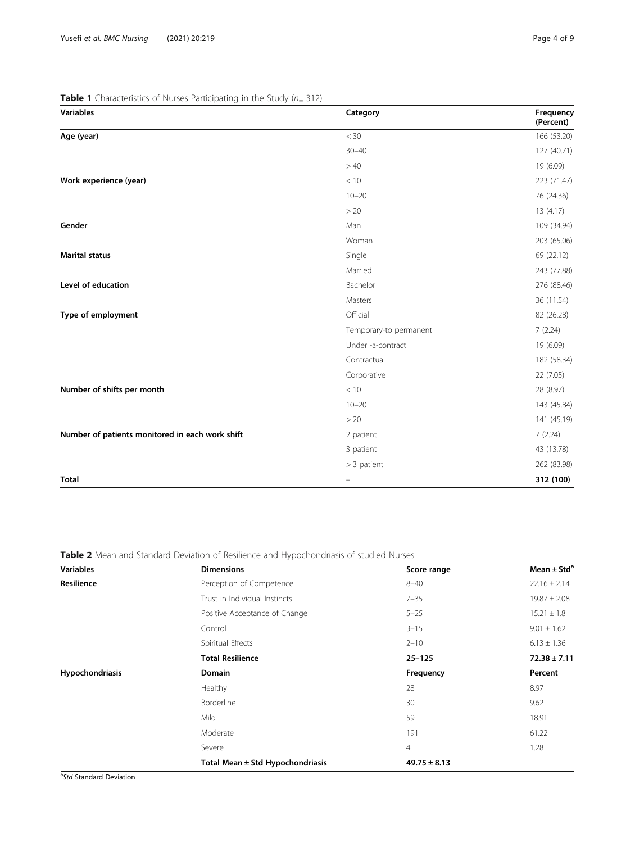| <b>Variables</b>                                | Category               | Frequency<br>(Percent) |
|-------------------------------------------------|------------------------|------------------------|
| Age (year)                                      | $<$ 30                 | 166 (53.20)            |
|                                                 | $30 - 40$              | 127 (40.71)            |
|                                                 | >40                    | 19 (6.09)              |
| Work experience (year)                          | < 10                   | 223 (71.47)            |
|                                                 | $10 - 20$              | 76 (24.36)             |
|                                                 | > 20                   | 13(4.17)               |
| Gender                                          | Man                    | 109 (34.94)            |
|                                                 | Woman                  | 203 (65.06)            |
| <b>Marital status</b>                           | Single                 | 69 (22.12)             |
|                                                 | Married                | 243 (77.88)            |
| Level of education                              | Bachelor               | 276 (88.46)            |
|                                                 | Masters                | 36 (11.54)             |
| Type of employment                              | Official               | 82 (26.28)             |
|                                                 | Temporary-to permanent | 7(2.24)                |
|                                                 | Under -a-contract      | 19 (6.09)              |
|                                                 | Contractual            | 182 (58.34)            |
|                                                 | Corporative            | 22(7.05)               |
| Number of shifts per month                      | < 10                   | 28 (8.97)              |
|                                                 | $10 - 20$              | 143 (45.84)            |
|                                                 | > 20                   | 141 (45.19)            |
| Number of patients monitored in each work shift | 2 patient              | 7(2.24)                |
|                                                 | 3 patient              | 43 (13.78)             |
|                                                 | > 3 patient            | 262 (83.98)            |
| <b>Total</b>                                    |                        | 312 (100)              |

<span id="page-3-0"></span>**Table 1** Characteristics of Nurses Participating in the Study ( $n=312$ )

Table 2 Mean and Standard Deviation of Resilience and Hypochondriasis of studied Nurses

| <b>Variables</b> | <b>Dimensions</b>                    | Score range      | Mean $\pm$ Std <sup>a</sup> |  |
|------------------|--------------------------------------|------------------|-----------------------------|--|
| Resilience       | Perception of Competence             | $8 - 40$         | $22.16 \pm 2.14$            |  |
|                  | Trust in Individual Instincts        | $7 - 35$         | $19.87 \pm 2.08$            |  |
|                  | Positive Acceptance of Change        | $5 - 25$         | $15.21 \pm 1.8$             |  |
|                  | Control                              | $3 - 15$         | $9.01 \pm 1.62$             |  |
|                  | Spiritual Effects                    | $2 - 10$         | $6.13 \pm 1.36$             |  |
|                  | <b>Total Resilience</b>              | $25 - 125$       | $72.38 \pm 7.11$            |  |
| Hypochondriasis  | <b>Domain</b>                        | Frequency        | Percent                     |  |
|                  | Healthy                              | 28               | 8.97                        |  |
|                  | Borderline                           | 30               | 9.62                        |  |
|                  | Mild                                 | 59               | 18.91                       |  |
|                  | Moderate                             | 191              | 61.22                       |  |
|                  | Severe                               | $\overline{4}$   | 1.28                        |  |
|                  | Total Mean $\pm$ Std Hypochondriasis | $49.75 \pm 8.13$ |                             |  |

<sup>a</sup>Std Standard Deviation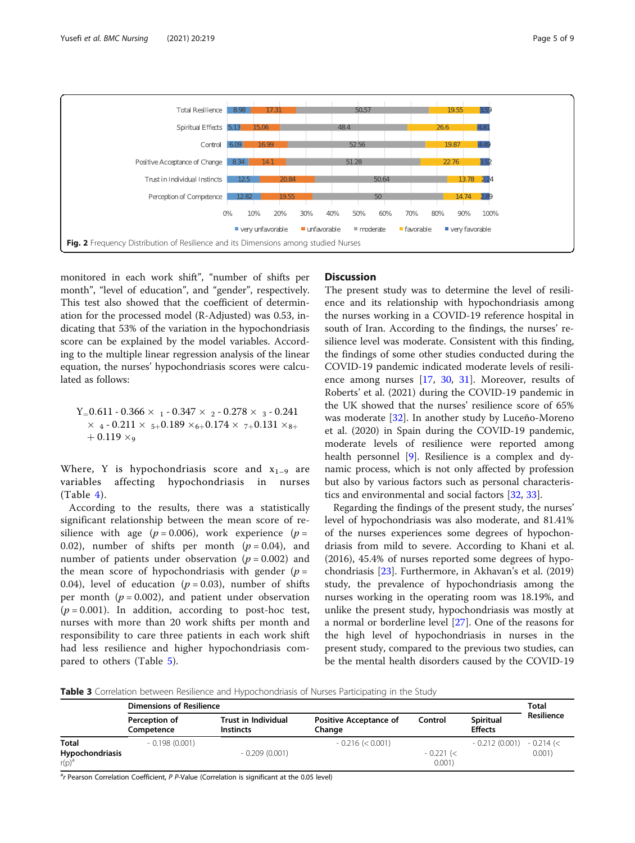<span id="page-4-0"></span>

monitored in each work shift", "number of shifts per month", "level of education", and "gender", respectively. This test also showed that the coefficient of determination for the processed model (R-Adjusted) was 0.53, indicating that 53% of the variation in the hypochondriasis score can be explained by the model variables. According to the multiple linear regression analysis of the linear equation, the nurses' hypochondriasis scores were calculated as follows:

 $Y_ = 0.611 - 0.366 \times 1 - 0.347 \times 2 - 0.278 \times 3 - 0.241$  $\times$  4 - 0.211  $\times$  5+0.189  $\times$ 6+0.174  $\times$  7+0.131  $\times$ 8+  $+0.119 \times_9$ 

Where, Y is hypochondriasis score and  $x_{1-9}$  are variables affecting hypochondriasis in nurses  $(Table 4).$  $(Table 4).$  $(Table 4).$ 

According to the results, there was a statistically significant relationship between the mean score of resilience with age ( $p = 0.006$ ), work experience ( $p =$ 0.02), number of shifts per month  $(p = 0.04)$ , and number of patients under observation ( $p = 0.002$ ) and the mean score of hypochondriasis with gender ( $p =$ 0.04), level of education ( $p = 0.03$ ), number of shifts per month ( $p = 0.002$ ), and patient under observation  $(p = 0.001)$ . In addition, according to post-hoc test, nurses with more than 20 work shifts per month and responsibility to care three patients in each work shift had less resilience and higher hypochondriasis compared to others (Table [5\)](#page-5-0).

## **Discussion**

The present study was to determine the level of resilience and its relationship with hypochondriasis among the nurses working in a COVID-19 reference hospital in south of Iran. According to the findings, the nurses' resilience level was moderate. Consistent with this finding, the findings of some other studies conducted during the COVID-19 pandemic indicated moderate levels of resilience among nurses [\[17](#page-7-0), [30](#page-7-0), [31\]](#page-7-0). Moreover, results of Roberts' et al. (2021) during the COVID-19 pandemic in the UK showed that the nurses' resilience score of 65% was moderate [\[32](#page-7-0)]. In another study by Luceño-Moreno et al. (2020) in Spain during the COVID-19 pandemic, moderate levels of resilience were reported among health personnel [\[9](#page-7-0)]. Resilience is a complex and dynamic process, which is not only affected by profession but also by various factors such as personal characteristics and environmental and social factors [[32,](#page-7-0) [33\]](#page-7-0).

Regarding the findings of the present study, the nurses' level of hypochondriasis was also moderate, and 81.41% of the nurses experiences some degrees of hypochondriasis from mild to severe. According to Khani et al. (2016), 45.4% of nurses reported some degrees of hypochondriasis [\[23](#page-7-0)]. Furthermore, in Akhavan's et al. (2019) study, the prevalence of hypochondriasis among the nurses working in the operating room was 18.19%, and unlike the present study, hypochondriasis was mostly at a normal or borderline level [[27\]](#page-7-0). One of the reasons for the high level of hypochondriasis in nurses in the present study, compared to the previous two studies, can be the mental health disorders caused by the COVID-19

Table 3 Correlation between Resilience and Hypochondriasis of Nurses Participating in the Study

|                             | <b>Dimensions of Resilience</b> |                                         |                                         |                       |                             | <b>Total</b> |
|-----------------------------|---------------------------------|-----------------------------------------|-----------------------------------------|-----------------------|-----------------------------|--------------|
|                             | Perception of<br>Competence     | Trust in Individual<br><b>Instincts</b> | <b>Positive Acceptance of</b><br>Change | Control               | Spiritual<br><b>Effects</b> | Resilience   |
| <b>Total</b>                | $-0.198(0.001)$                 |                                         | $-0.216 \le 0.001$                      |                       | $-0.212(0.001)$             | $-0.214$ (<  |
| Hypochondriasis<br>$r(p)^a$ |                                 | $-0.209(0.001)$                         |                                         | $-0.221$ (<<br>0.001) |                             | 0.001        |

<sup>a</sup>r Pearson Correlation Coefficient, P P-Value (Correlation is significant at the 0.05 level)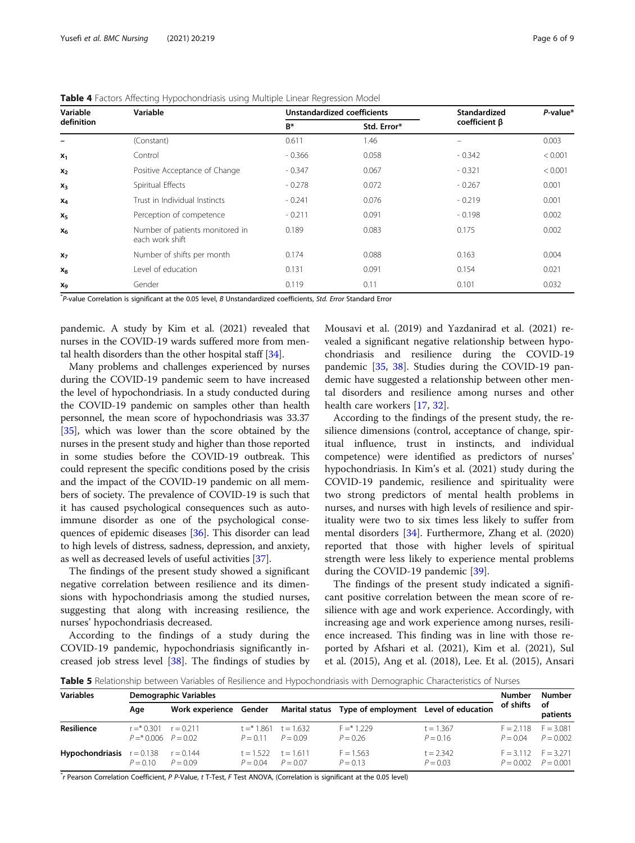| Variable       | Variable                                           |          | <b>Unstandardized coefficients</b> | Standardized        | P-value* |
|----------------|----------------------------------------------------|----------|------------------------------------|---------------------|----------|
| definition     |                                                    | $B^*$    | Std. Error*                        | $coefficient \beta$ |          |
|                | (Constant)                                         | 0.611    | 1.46                               |                     | 0.003    |
| $x_1$          | Control                                            | $-0.366$ | 0.058                              | $-0.342$            | < 0.001  |
| $x_2$          | Positive Acceptance of Change                      | $-0.347$ | 0.067                              | $-0.321$            | < 0.001  |
| $x_3$          | Spiritual Effects                                  | $-0.278$ | 0.072                              | $-0.267$            | 0.001    |
| $X_4$          | Trust in Individual Instincts                      | $-0.241$ | 0.076                              | $-0.219$            | 0.001    |
| $X_5$          | Perception of competence                           | $-0.211$ | 0.091                              | $-0.198$            | 0.002    |
| $X_6$          | Number of patients monitored in<br>each work shift | 0.189    | 0.083                              | 0.175               | 0.002    |
| $x_7$          | Number of shifts per month                         | 0.174    | 0.088                              | 0.163               | 0.004    |
| $x_8$          | Level of education                                 | 0.131    | 0.091                              | 0.154               | 0.021    |
| X <sub>9</sub> | Gender                                             | 0.119    | 0.11                               | 0.101               | 0.032    |

<span id="page-5-0"></span>Table 4 Factors Affecting Hypochondriasis using Multiple Linear Regression Model

\* P-value Correlation is significant at the 0.05 level, B Unstandardized coefficients, Std. Error Standard Error

pandemic. A study by Kim et al. (2021) revealed that nurses in the COVID-19 wards suffered more from mental health disorders than the other hospital staff [[34](#page-7-0)].

Many problems and challenges experienced by nurses during the COVID-19 pandemic seem to have increased the level of hypochondriasis. In a study conducted during the COVID-19 pandemic on samples other than health personnel, the mean score of hypochondriasis was 33.37 [[35](#page-7-0)], which was lower than the score obtained by the nurses in the present study and higher than those reported in some studies before the COVID-19 outbreak. This could represent the specific conditions posed by the crisis and the impact of the COVID-19 pandemic on all members of society. The prevalence of COVID-19 is such that it has caused psychological consequences such as autoimmune disorder as one of the psychological consequences of epidemic diseases [\[36\]](#page-8-0). This disorder can lead to high levels of distress, sadness, depression, and anxiety, as well as decreased levels of useful activities [[37](#page-8-0)].

The findings of the present study showed a significant negative correlation between resilience and its dimensions with hypochondriasis among the studied nurses, suggesting that along with increasing resilience, the nurses' hypochondriasis decreased.

According to the findings of a study during the COVID-19 pandemic, hypochondriasis significantly increased job stress level [\[38](#page-8-0)]. The findings of studies by

Mousavi et al. (2019) and Yazdanirad et al. (2021) revealed a significant negative relationship between hypochondriasis and resilience during the COVID-19 pandemic [\[35,](#page-7-0) [38](#page-8-0)]. Studies during the COVID-19 pandemic have suggested a relationship between other mental disorders and resilience among nurses and other health care workers [\[17,](#page-7-0) [32\]](#page-7-0).

According to the findings of the present study, the resilience dimensions (control, acceptance of change, spiritual influence, trust in instincts, and individual competence) were identified as predictors of nurses' hypochondriasis. In Kim's et al. (2021) study during the COVID-19 pandemic, resilience and spirituality were two strong predictors of mental health problems in nurses, and nurses with high levels of resilience and spirituality were two to six times less likely to suffer from mental disorders [\[34](#page-7-0)]. Furthermore, Zhang et al. (2020) reported that those with higher levels of spiritual strength were less likely to experience mental problems during the COVID-19 pandemic [\[39\]](#page-8-0).

The findings of the present study indicated a significant positive correlation between the mean score of resilience with age and work experience. Accordingly, with increasing age and work experience among nurses, resilience increased. This finding was in line with those reported by Afshari et al. (2021), Kim et al. (2021), Sul et al. (2015), Ang et al. (2018), Lee. Et al. (2015), Ansari

Table 5 Relationship between Variables of Resilience and Hypochondriasis with Demographic Characteristics of Nurses

| <b>Variables</b>                   | Demographic Variables                               |                           |                                                  |  |                                                      |                           | Number                                             | Number         |
|------------------------------------|-----------------------------------------------------|---------------------------|--------------------------------------------------|--|------------------------------------------------------|---------------------------|----------------------------------------------------|----------------|
|                                    | Age                                                 | Work experience Gender    |                                                  |  | Marital status Type of employment Level of education |                           | of shifts                                          | of<br>patients |
| <b>Resilience</b>                  | $r = *0.301$ $r = 0.211$<br>$P = *0.006$ $P = 0.02$ |                           | $t = 1.861$ $t = 1.632$<br>$P = 0.11$ $P = 0.09$ |  | $F = * 1229$<br>$P = 0.26$                           | $t = 1.367$<br>$P = 0.16$ | $F = 2.118$ $F = 3.081$<br>$P = 0.04$              | $P = 0.002$    |
| <b>Hypochondriasis</b> $r = 0.138$ | $P = 0.10$                                          | $r = 0.144$<br>$P = 0.09$ | $t = 1.522$ $t = 1.611$<br>$P = 0.04$ $P = 0.07$ |  | $F = 1.563$<br>$P = 0.13$                            | $t = 2.342$<br>$P = 0.03$ | $F = 3.112$ $F = 3.271$<br>$P = 0.002$ $P = 0.001$ |                |

\* r Pearson Correlation Coefficient, P P-Value, t T-Test, F Test ANOVA, (Correlation is significant at the 0.05 level)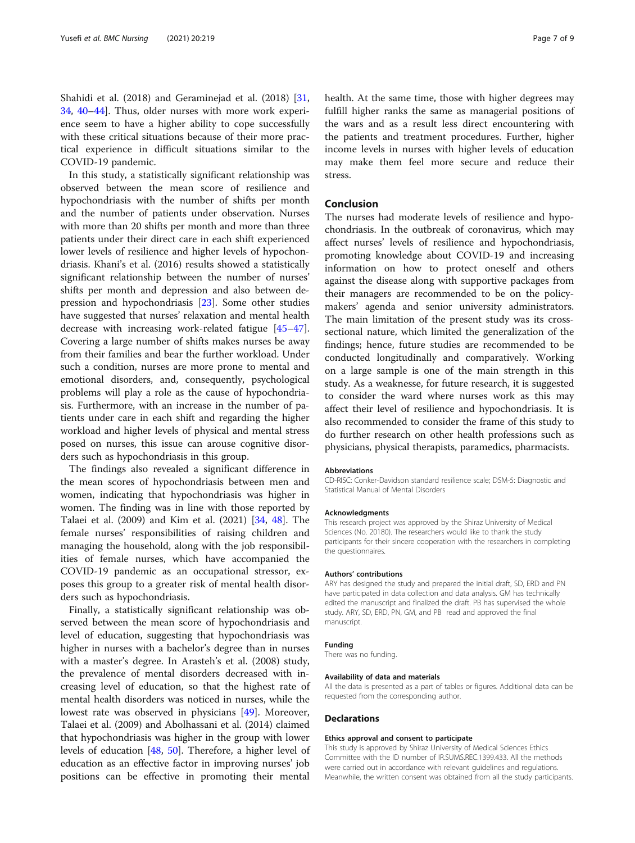Shahidi et al. (2018) and Geraminejad et al. (2018) [[31](#page-7-0), [34,](#page-7-0) [40](#page-8-0)–[44](#page-8-0)]. Thus, older nurses with more work experience seem to have a higher ability to cope successfully with these critical situations because of their more practical experience in difficult situations similar to the COVID-19 pandemic.

In this study, a statistically significant relationship was observed between the mean score of resilience and hypochondriasis with the number of shifts per month and the number of patients under observation. Nurses with more than 20 shifts per month and more than three patients under their direct care in each shift experienced lower levels of resilience and higher levels of hypochondriasis. Khani's et al. (2016) results showed a statistically significant relationship between the number of nurses' shifts per month and depression and also between depression and hypochondriasis [[23\]](#page-7-0). Some other studies have suggested that nurses' relaxation and mental health decrease with increasing work-related fatigue [[45](#page-8-0)–[47](#page-8-0)]. Covering a large number of shifts makes nurses be away from their families and bear the further workload. Under such a condition, nurses are more prone to mental and emotional disorders, and, consequently, psychological problems will play a role as the cause of hypochondriasis. Furthermore, with an increase in the number of patients under care in each shift and regarding the higher workload and higher levels of physical and mental stress posed on nurses, this issue can arouse cognitive disorders such as hypochondriasis in this group.

The findings also revealed a significant difference in the mean scores of hypochondriasis between men and women, indicating that hypochondriasis was higher in women. The finding was in line with those reported by Talaei et al. (2009) and Kim et al. (2021) [[34,](#page-7-0) [48\]](#page-8-0). The female nurses' responsibilities of raising children and managing the household, along with the job responsibilities of female nurses, which have accompanied the COVID-19 pandemic as an occupational stressor, exposes this group to a greater risk of mental health disorders such as hypochondriasis.

Finally, a statistically significant relationship was observed between the mean score of hypochondriasis and level of education, suggesting that hypochondriasis was higher in nurses with a bachelor's degree than in nurses with a master's degree. In Arasteh's et al. (2008) study, the prevalence of mental disorders decreased with increasing level of education, so that the highest rate of mental health disorders was noticed in nurses, while the lowest rate was observed in physicians [[49\]](#page-8-0). Moreover, Talaei et al. (2009) and Abolhassani et al. (2014) claimed that hypochondriasis was higher in the group with lower levels of education [\[48](#page-8-0), [50\]](#page-8-0). Therefore, a higher level of education as an effective factor in improving nurses' job positions can be effective in promoting their mental

health. At the same time, those with higher degrees may fulfill higher ranks the same as managerial positions of the wars and as a result less direct encountering with the patients and treatment procedures. Further, higher income levels in nurses with higher levels of education may make them feel more secure and reduce their stress.

### Conclusion

The nurses had moderate levels of resilience and hypochondriasis. In the outbreak of coronavirus, which may affect nurses' levels of resilience and hypochondriasis, promoting knowledge about COVID-19 and increasing information on how to protect oneself and others against the disease along with supportive packages from their managers are recommended to be on the policymakers' agenda and senior university administrators. The main limitation of the present study was its crosssectional nature, which limited the generalization of the findings; hence, future studies are recommended to be conducted longitudinally and comparatively. Working on a large sample is one of the main strength in this study. As a weaknesse, for future research, it is suggested to consider the ward where nurses work as this may affect their level of resilience and hypochondriasis. It is also recommended to consider the frame of this study to do further research on other health professions such as physicians, physical therapists, paramedics, pharmacists.

#### Abbreviations

CD-RISC: Conker-Davidson standard resilience scale; DSM-5: Diagnostic and Statistical Manual of Mental Disorders

#### Acknowledgments

This research project was approved by the Shiraz University of Medical Sciences (No. 20180). The researchers would like to thank the study participants for their sincere cooperation with the researchers in completing the questionnaires.

#### Authors' contributions

ARY has designed the study and prepared the initial draft, SD, ERD and PN have participated in data collection and data analysis. GM has technically edited the manuscript and finalized the draft. PB has supervised the whole study. ARY, SD, ERD, PN, GM, and PB read and approved the final manuscript.

#### Funding

There was no funding.

#### Availability of data and materials

All the data is presented as a part of tables or figures. Additional data can be requested from the corresponding author.

#### **Declarations**

#### Ethics approval and consent to participate

This study is approved by Shiraz University of Medical Sciences Ethics Committee with the ID number of IR.SUMS.REC.1399.433. All the methods were carried out in accordance with relevant guidelines and regulations. Meanwhile, the written consent was obtained from all the study participants.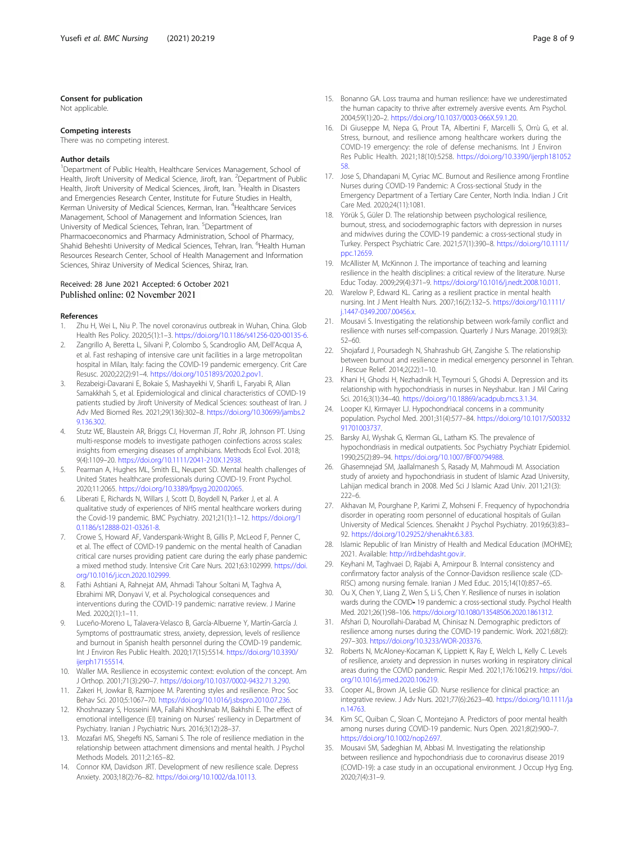#### <span id="page-7-0"></span>Consent for publication

Not applicable.

#### Competing interests

There was no competing interest.

#### Author details

<sup>1</sup>Department of Public Health, Healthcare Services Management, School of Health, Jiroft University of Medical Science, Jiroft, Iran. <sup>2</sup>Department of Public Health, Jiroft University of Medical Sciences, Jiroft, Iran. <sup>3</sup>Health in Disasters and Emergencies Research Center, Institute for Future Studies in Health, Kerman University of Medical Sciences, Kerman, Iran. <sup>4</sup>Healthcare Services Management, School of Management and Information Sciences, Iran University of Medical Sciences, Tehran, Iran. <sup>5</sup>Department of Pharmacoeconomics and Pharmacy Administration, School of Pharmacy, Shahid Beheshti University of Medical Sciences, Tehran, Iran. <sup>6</sup>Health Human Resources Research Center, School of Health Management and Information Sciences, Shiraz University of Medical Sciences, Shiraz, Iran.

#### Received: 28 June 2021 Accepted: 6 October 2021 Published online: 02 November 2021

#### References

- 1. Zhu H, Wei L, Niu P. The novel coronavirus outbreak in Wuhan, China. Glob Health Res Policy. 2020;5(1):1–3. [https://doi.org/10.1186/s41256-020-00135-6.](https://doi.org/10.1186/s41256-020-00135-6)
- 2. Zangrillo A, Beretta L, Silvani P, Colombo S, Scandroglio AM, Dell'Acqua A, et al. Fast reshaping of intensive care unit facilities in a large metropolitan hospital in Milan, Italy: facing the COVID-19 pandemic emergency. Crit Care Resusc. 2020;22(2):91–4. <https://doi.org/10.51893/2020.2.pov1>.
- 3. Rezabeigi-Davarani E, Bokaie S, Mashayekhi V, Sharifi L, Faryabi R, Alian Samakkhah S, et al. Epidemiological and clinical characteristics of COVID-19 patients studied by Jiroft University of Medical Sciences: southeast of Iran. J Adv Med Biomed Res. 2021;29(136):302–8. [https://doi.org/10.30699/jambs.2](https://doi.org/10.30699/jambs.29.136.302) [9.136.302.](https://doi.org/10.30699/jambs.29.136.302)
- 4. Stutz WE, Blaustein AR, Briggs CJ, Hoverman JT, Rohr JR, Johnson PT. Using multi-response models to investigate pathogen coinfections across scales: insights from emerging diseases of amphibians. Methods Ecol Evol. 2018; 9(4):1109–20. <https://doi.org/10.1111/2041-210X.12938>.
- 5. Pearman A, Hughes ML, Smith EL, Neupert SD. Mental health challenges of United States healthcare professionals during COVID-19. Front Psychol. 2020;11:2065. <https://doi.org/10.3389/fpsyg.2020.02065>.
- 6. Liberati E, Richards N, Willars J, Scott D, Boydell N, Parker J, et al. A qualitative study of experiences of NHS mental healthcare workers during the Covid-19 pandemic. BMC Psychiatry. 2021;21(1):1–12. [https://doi.org/1](https://doi.org/10.1186/s12888-021-03261-8) [0.1186/s12888-021-03261-8.](https://doi.org/10.1186/s12888-021-03261-8)
- 7. Crowe S, Howard AF, Vanderspank-Wright B, Gillis P, McLeod F, Penner C, et al. The effect of COVID-19 pandemic on the mental health of Canadian critical care nurses providing patient care during the early phase pandemic: a mixed method study. Intensive Crit Care Nurs. 2021;63:102999. [https://doi.](https://doi.org/10.1016/j.iccn.2020.102999) [org/10.1016/j.iccn.2020.102999.](https://doi.org/10.1016/j.iccn.2020.102999)
- 8. Fathi Ashtiani A, Rahnejat AM, Ahmadi Tahour Soltani M, Taghva A, Ebrahimi MR, Donyavi V, et al. Psychological consequences and interventions during the COVID-19 pandemic: narrative review. J Marine Med. 2020;2(1):1–11.
- 9. Luceño-Moreno L, Talavera-Velasco B, García-Albuerne Y, Martín-García J. Symptoms of posttraumatic stress, anxiety, depression, levels of resilience and burnout in Spanish health personnel during the COVID-19 pandemic. Int J Environ Res Public Health. 2020;17(15):5514. [https://doi.org/10.3390/](https://doi.org/10.3390/ijerph17155514) [ijerph17155514](https://doi.org/10.3390/ijerph17155514).
- 10. Waller MA. Resilience in ecosystemic context: evolution of the concept. Am J Orthop. 2001;71(3):290–7. <https://doi.org/10.1037/0002-9432.71.3.290>.
- 11. Zakeri H, Jowkar B, Razmjoee M. Parenting styles and resilience. Proc Soc Behav Sci. 2010;5:1067–70. [https://doi.org/10.1016/j.sbspro.2010.07.236.](https://doi.org/10.1016/j.sbspro.2010.07.236)
- 12. Khoshnazary S, Hosseini MA, Fallahi Khoshknab M, Bakhshi E. The effect of emotional intelligence (EI) training on Nurses' resiliency in Department of Psychiatry. Iranian J Psychiatric Nurs. 2016;3(12):28–37.
- 13. Mozafari MS, Shegefti NS, Samani S. The role of resilience mediation in the relationship between attachment dimensions and mental health. J Psychol Methods Models. 2011;2:165–82.
- 14. Connor KM, Davidson JRT. Development of new resilience scale. Depress Anxiety. 2003;18(2):76–82. <https://doi.org/10.1002/da.10113>.
- 15. Bonanno GA. Loss trauma and human resilience: have we underestimated the human capacity to thrive after extremely aversive events. Am Psychol. 2004;59(1):20–2. <https://doi.org/10.1037/0003-066X.59.1.20>.
- 16. Di Giuseppe M, Nepa G, Prout TA, Albertini F, Marcelli S, Orrù G, et al. Stress, burnout, and resilience among healthcare workers during the COVID-19 emergency: the role of defense mechanisms. Int J Environ Res Public Health. 2021;18(10):5258. [https://doi.org/10.3390/ijerph181052](https://doi.org/10.3390/ijerph18105258) [58.](https://doi.org/10.3390/ijerph18105258)
- 17. Jose S, Dhandapani M, Cyriac MC. Burnout and Resilience among Frontline Nurses during COVID-19 Pandemic: A Cross-sectional Study in the Emergency Department of a Tertiary Care Center, North India. Indian J Crit Care Med. 2020;24(11):1081.
- 18. Yörük S, Güler D. The relationship between psychological resilience, burnout, stress, and sociodemographic factors with depression in nurses and midwives during the COVID-19 pandemic: a cross-sectional study in Turkey. Perspect Psychiatric Care. 2021;57(1):390–8. [https://doi.org/10.1111/](https://doi.org/10.1111/ppc.12659) [ppc.12659.](https://doi.org/10.1111/ppc.12659)
- 19. McAllister M, McKinnon J. The importance of teaching and learning resilience in the health disciplines: a critical review of the literature. Nurse Educ Today. 2009;29(4):371–9. <https://doi.org/10.1016/j.nedt.2008.10.011>.
- 20. Warelow P, Edward KL. Caring as a resilient practice in mental health nursing. Int J Ment Health Nurs. 2007;16(2):132–5. [https://doi.org/10.1111/](https://doi.org/10.1111/j.1447-0349.2007.00456.x) [j.1447-0349.2007.00456.x](https://doi.org/10.1111/j.1447-0349.2007.00456.x).
- 21. Mousavi S. Investigating the relationship between work-family conflict and resilience with nurses self-compassion. Quarterly J Nurs Manage. 2019;8(3): 52–60.
- 22. Shojafard J, Poursadegh N, Shahrashub GH, Zangishe S. The relationship between burnout and resilience in medical emergency personnel in Tehran. J Rescue Relief. 2014;2(22):1–10.
- 23. Khani H, Ghodsi H, Nezhadnik H, Teymouri S, Ghodsi A. Depression and its relationship with hypochondriasis in nurses in Neyshabur. Iran J Mil Caring Sci. 2016;3(1):34–40. <https://doi.org/10.18869/acadpub.mcs.3.1.34>.
- 24. Looper KJ, Kirmayer LJ. Hypochondriacal concerns in a community population. Psychol Med. 2001;31(4):577–84. [https://doi.org/10.1017/S00332](https://doi.org/10.1017/S0033291701003737) [91701003737](https://doi.org/10.1017/S0033291701003737).
- 25. Barsky AJ, Wyshak G, Klerman GL, Latham KS. The prevalence of hypochondriasis in medical outpatients. Soc Psychiatry Psychiatr Epidemiol. 1990;25(2):89–94. [https://doi.org/10.1007/BF00794988.](https://doi.org/10.1007/BF00794988)
- 26. Ghasemnejad SM, Jaallalmanesh S, Rasady M, Mahmoudi M. Association study of anxiety and hypochondriasis in student of Islamic Azad University, Lahijan medical branch in 2008. Med Sci J Islamic Azad Univ. 2011;21(3): 222–6.
- 27. Akhavan M, Pourghane P, Karimi Z, Mohseni F. Frequency of hypochondria disorder in operating room personnel of educational hospitals of Guilan University of Medical Sciences. Shenakht J Psychol Psychiatry. 2019;6(3):83– 92. <https://doi.org/10.29252/shenakht.6.3.83>.
- 28. Islamic Republic of Iran Ministry of Health and Medical Education (MOHME); 2021. Available: [http://ird.behdasht.gov.ir.](http://ird.behdasht.gov.ir)
- 29. Keyhani M, Taghvaei D, Rajabi A, Amirpour B. Internal consistency and confirmatory factor analysis of the Connor-Davidson resilience scale (CD-RISC) among nursing female. Iranian J Med Educ. 2015;14(10):857–65.
- 30. Ou X, Chen Y, Liang Z, Wen S, Li S, Chen Y. Resilience of nurses in isolation wards during the COVID- 19 pandemic: a cross-sectional study. Psychol Health Med. 2021;26(1):98–106. [https://doi.org/10.1080/13548506.2020.1861312.](https://doi.org/10.1080/13548506.2020.1861312)
- 31. Afshari D, Nourollahi-Darabad M, Chinisaz N. Demographic predictors of resilience among nurses during the COVID-19 pandemic. Work. 2021;68(2): 297–303. [https://doi.org/10.3233/WOR-203376.](https://doi.org/10.3233/WOR-203376)
- 32. Roberts N, McAloney-Kocaman K, Lippiett K, Ray E, Welch L, Kelly C. Levels of resilience, anxiety and depression in nurses working in respiratory clinical areas during the COVID pandemic. Respir Med. 2021;176:106219. [https://doi.](https://doi.org/10.1016/j.rmed.2020.106219) [org/10.1016/j.rmed.2020.106219](https://doi.org/10.1016/j.rmed.2020.106219).
- 33. Cooper AL, Brown JA, Leslie GD. Nurse resilience for clinical practice: an integrative review. J Adv Nurs. 2021;77(6):2623–40. [https://doi.org/10.1111/ja](https://doi.org/10.1111/jan.14763) [n.14763.](https://doi.org/10.1111/jan.14763)
- 34. Kim SC, Quiban C, Sloan C, Montejano A. Predictors of poor mental health among nurses during COVID-19 pandemic. Nurs Open. 2021;8(2):900–7. <https://doi.org/10.1002/nop2.697>.
- 35. Mousavi SM, Sadeghian M, Abbasi M. Investigating the relationship between resilience and hypochondriasis due to coronavirus disease 2019 (COVID-19): a case study in an occupational environment. J Occup Hyg Eng. 2020;7(4):31–9.